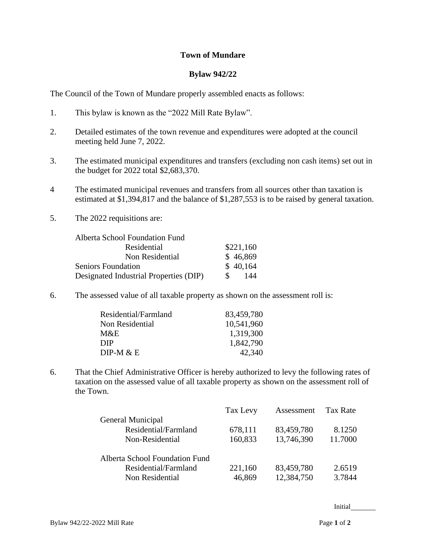## **Town of Mundare**

## **Bylaw 942/22**

The Council of the Town of Mundare properly assembled enacts as follows:

- 1. This bylaw is known as the "2022 Mill Rate Bylaw".
- 2. Detailed estimates of the town revenue and expenditures were adopted at the council meeting held June 7, 2022.
- 3. The estimated municipal expenditures and transfers (excluding non cash items) set out in the budget for 2022 total \$2,683,370.
- 4 The estimated municipal revenues and transfers from all sources other than taxation is estimated at \$1,394,817 and the balance of \$1,287,553 is to be raised by general taxation.
- 5. The 2022 requisitions are:

| Alberta School Foundation Fund         |           |
|----------------------------------------|-----------|
| Residential                            | \$221,160 |
| Non Residential                        | \$46,869  |
| <b>Seniors Foundation</b>              | \$40,164  |
| Designated Industrial Properties (DIP) | 144<br>S. |

6. The assessed value of all taxable property as shown on the assessment roll is:

| 83,459,780 |
|------------|
| 10,541,960 |
| 1,319,300  |
| 1,842,790  |
| 42,340     |
|            |

6. That the Chief Administrative Officer is hereby authorized to levy the following rates of taxation on the assessed value of all taxable property as shown on the assessment roll of the Town.

|                                | Tax Levy | Assessment | Tax Rate |
|--------------------------------|----------|------------|----------|
| General Municipal              |          |            |          |
| Residential/Farmland           | 678,111  | 83,459,780 | 8.1250   |
| Non-Residential                | 160,833  | 13,746,390 | 11.7000  |
| Alberta School Foundation Fund |          |            |          |
| Residential/Farmland           | 221,160  | 83,459,780 | 2.6519   |
| Non Residential                | 46,869   | 12,384,750 | 3.7844   |

Initial